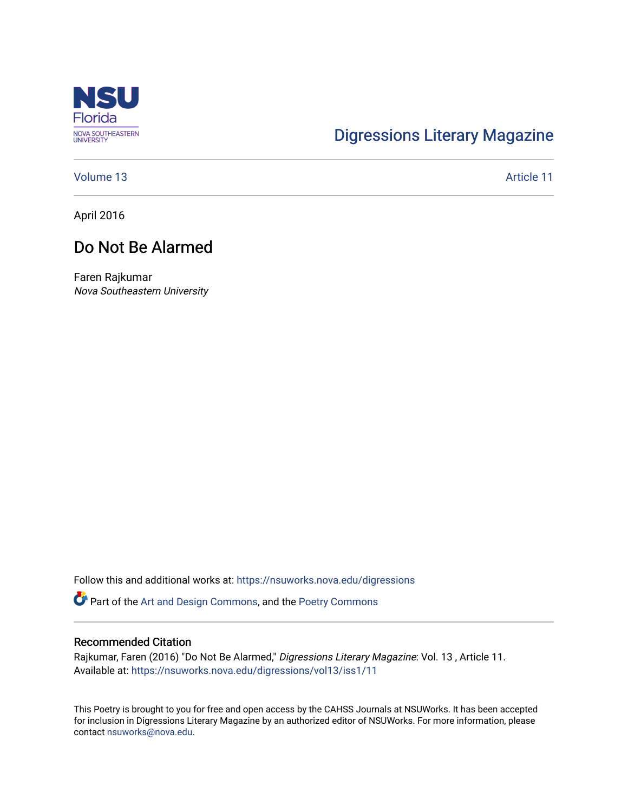

# [Digressions Literary Magazine](https://nsuworks.nova.edu/digressions)

[Volume 13](https://nsuworks.nova.edu/digressions/vol13) Article 11

April 2016

## Do Not Be Alarmed

Faren Rajkumar Nova Southeastern University

Follow this and additional works at: [https://nsuworks.nova.edu/digressions](https://nsuworks.nova.edu/digressions?utm_source=nsuworks.nova.edu%2Fdigressions%2Fvol13%2Fiss1%2F11&utm_medium=PDF&utm_campaign=PDFCoverPages) 

Part of the [Art and Design Commons](http://network.bepress.com/hgg/discipline/1049?utm_source=nsuworks.nova.edu%2Fdigressions%2Fvol13%2Fiss1%2F11&utm_medium=PDF&utm_campaign=PDFCoverPages), and the [Poetry Commons](http://network.bepress.com/hgg/discipline/1153?utm_source=nsuworks.nova.edu%2Fdigressions%2Fvol13%2Fiss1%2F11&utm_medium=PDF&utm_campaign=PDFCoverPages) 

#### Recommended Citation

Rajkumar, Faren (2016) "Do Not Be Alarmed," Digressions Literary Magazine: Vol. 13 , Article 11. Available at: [https://nsuworks.nova.edu/digressions/vol13/iss1/11](https://nsuworks.nova.edu/digressions/vol13/iss1/11?utm_source=nsuworks.nova.edu%2Fdigressions%2Fvol13%2Fiss1%2F11&utm_medium=PDF&utm_campaign=PDFCoverPages)

This Poetry is brought to you for free and open access by the CAHSS Journals at NSUWorks. It has been accepted for inclusion in Digressions Literary Magazine by an authorized editor of NSUWorks. For more information, please contact [nsuworks@nova.edu.](mailto:nsuworks@nova.edu)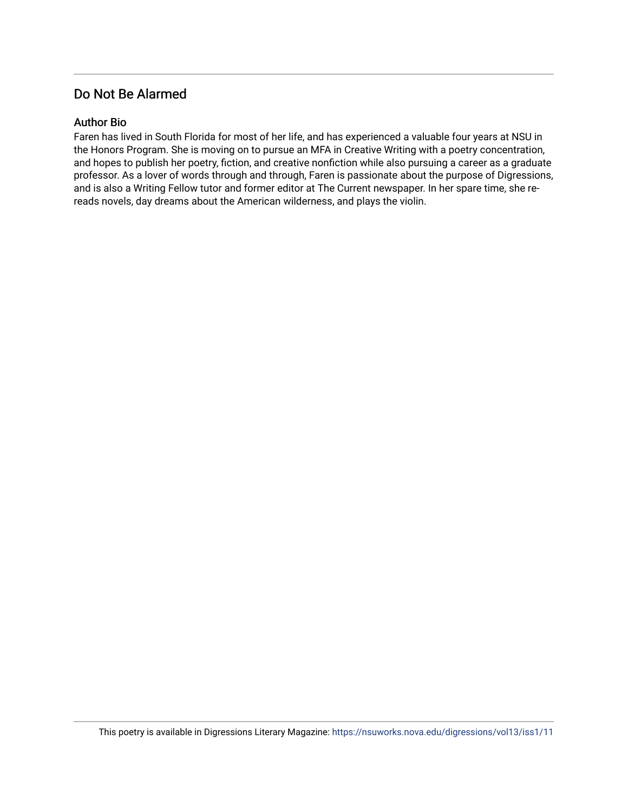## Do Not Be Alarmed

### Author Bio

Faren has lived in South Florida for most of her life, and has experienced a valuable four years at NSU in the Honors Program. She is moving on to pursue an MFA in Creative Writing with a poetry concentration, and hopes to publish her poetry, fiction, and creative nonfiction while also pursuing a career as a graduate professor. As a lover of words through and through, Faren is passionate about the purpose of Digressions, and is also a Writing Fellow tutor and former editor at The Current newspaper. In her spare time, she rereads novels, day dreams about the American wilderness, and plays the violin.